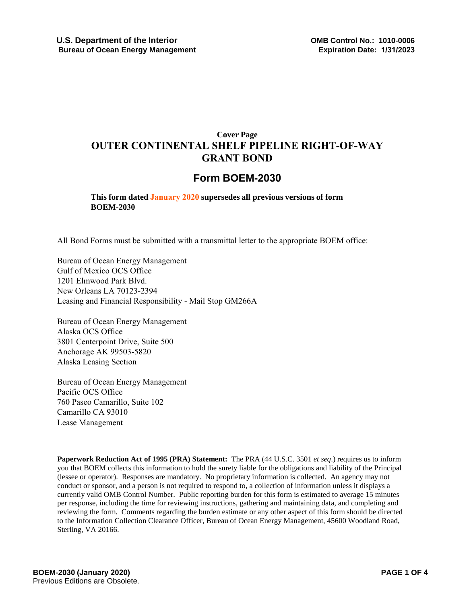# **Cover Page OUTER CONTINENTAL SHELF PIPELINE RIGHT-OF-WAY GRANT BOND**

## **Form BOEM-2030**

**This form dated January 2020 supersedes all previous versions of form BOEM-2030**

All Bond Forms must be submitted with a transmittal letter to the appropriate BOEM office:

Bureau of Ocean Energy Management Gulf of Mexico OCS Office 1201 Elmwood Park Blvd. New Orleans LA 70123-2394 Leasing and Financial Responsibility - Mail Stop GM266A

Bureau of Ocean Energy Management Alaska OCS Office 3801 Centerpoint Drive, Suite 500 Anchorage AK 99503-5820 Alaska Leasing Section

Bureau of Ocean Energy Management Pacific OCS Office 760 Paseo Camarillo, Suite 102 Camarillo CA 93010 Lease Management

**Paperwork Reduction Act of 1995 (PRA) Statement:** The PRA (44 U.S.C. 3501 *et seq*.) requires us to inform you that BOEM collects this information to hold the surety liable for the obligations and liability of the Principal (lessee or operator). Responses are mandatory. No proprietary information is collected. An agency may not conduct or sponsor, and a person is not required to respond to, a collection of information unless it displays a currently valid OMB Control Number. Public reporting burden for this form is estimated to average 15 minutes per response, including the time for reviewing instructions, gathering and maintaining data, and completing and reviewing the form. Comments regarding the burden estimate or any other aspect of this form should be directed to the Information Collection Clearance Officer, Bureau of Ocean Energy Management, 45600 Woodland Road, Sterling, VA 20166.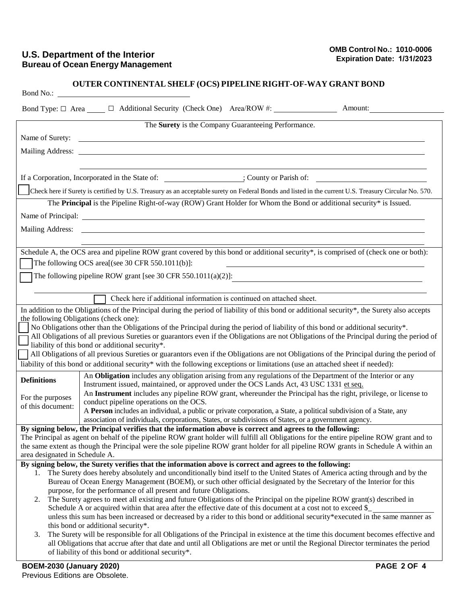### **U.S. Department of the Interior Bureau of Ocean Energy Management**

|                                                                                                                                                                                                                                                 | <b>OUTER CONTINENTAL SHELF (OCS) PIPELINE RIGHT-OF-WAY GRANT BOND</b>                                                                                                                                                                                                  |  |  |  |  |  |
|-------------------------------------------------------------------------------------------------------------------------------------------------------------------------------------------------------------------------------------------------|------------------------------------------------------------------------------------------------------------------------------------------------------------------------------------------------------------------------------------------------------------------------|--|--|--|--|--|
|                                                                                                                                                                                                                                                 | Bond Type: □ Area _____ □ Additional Security (Check One) Area/ROW #: _________________ Amount: _________                                                                                                                                                              |  |  |  |  |  |
|                                                                                                                                                                                                                                                 | The Surety is the Company Guaranteeing Performance.                                                                                                                                                                                                                    |  |  |  |  |  |
|                                                                                                                                                                                                                                                 | Name of Surety:                                                                                                                                                                                                                                                        |  |  |  |  |  |
|                                                                                                                                                                                                                                                 |                                                                                                                                                                                                                                                                        |  |  |  |  |  |
|                                                                                                                                                                                                                                                 |                                                                                                                                                                                                                                                                        |  |  |  |  |  |
|                                                                                                                                                                                                                                                 | If a Corporation, Incorporated in the State of: [16] County or Parish of: [26] County or Parish of:                                                                                                                                                                    |  |  |  |  |  |
|                                                                                                                                                                                                                                                 | Check here if Surety is certified by U.S. Treasury as an acceptable surety on Federal Bonds and listed in the current U.S. Treasury Circular No. 570.                                                                                                                  |  |  |  |  |  |
| The Principal is the Pipeline Right-of-way (ROW) Grant Holder for Whom the Bond or additional security* is Issued.                                                                                                                              |                                                                                                                                                                                                                                                                        |  |  |  |  |  |
| Name of Principal: Name of Principal and South Assembly and South Assembly and South Assembly and South Assembly and South Assembly and South Assembly and South Assembly and South Assembly and Assembly and Assembly and Ass                  |                                                                                                                                                                                                                                                                        |  |  |  |  |  |
|                                                                                                                                                                                                                                                 |                                                                                                                                                                                                                                                                        |  |  |  |  |  |
|                                                                                                                                                                                                                                                 |                                                                                                                                                                                                                                                                        |  |  |  |  |  |
| Schedule A, the OCS area and pipeline ROW grant covered by this bond or additional security*, is comprised of (check one or both):                                                                                                              |                                                                                                                                                                                                                                                                        |  |  |  |  |  |
| The following OCS area[(see 30 CFR 550.1011(b)]:                                                                                                                                                                                                |                                                                                                                                                                                                                                                                        |  |  |  |  |  |
| The following pipeline ROW grant [see 30 CFR 550.1011(a)(2)]:                                                                                                                                                                                   |                                                                                                                                                                                                                                                                        |  |  |  |  |  |
|                                                                                                                                                                                                                                                 | Check here if additional information is continued on attached sheet.                                                                                                                                                                                                   |  |  |  |  |  |
|                                                                                                                                                                                                                                                 | In addition to the Obligations of the Principal during the period of liability of this bond or additional security*, the Surety also accepts                                                                                                                           |  |  |  |  |  |
| the following Obligations (check one):                                                                                                                                                                                                          |                                                                                                                                                                                                                                                                        |  |  |  |  |  |
| No Obligations other than the Obligations of the Principal during the period of liability of this bond or additional security*.                                                                                                                 |                                                                                                                                                                                                                                                                        |  |  |  |  |  |
| All Obligations of all previous Sureties or guarantors even if the Obligations are not Obligations of the Principal during the period of<br>liability of this bond or additional security*.                                                     |                                                                                                                                                                                                                                                                        |  |  |  |  |  |
| All Obligations of all previous Sureties or guarantors even if the Obligations are not Obligations of the Principal during the period of                                                                                                        |                                                                                                                                                                                                                                                                        |  |  |  |  |  |
|                                                                                                                                                                                                                                                 | liability of this bond or additional security* with the following exceptions or limitations (use an attached sheet if needed):                                                                                                                                         |  |  |  |  |  |
| <b>Definitions</b>                                                                                                                                                                                                                              | An Obligation includes any obligation arising from any regulations of the Department of the Interior or any                                                                                                                                                            |  |  |  |  |  |
|                                                                                                                                                                                                                                                 | Instrument issued, maintained, or approved under the OCS Lands Act, 43 USC 1331 et seq.<br>An Instrument includes any pipeline ROW grant, whereunder the Principal has the right, privilege, or license to                                                             |  |  |  |  |  |
| For the purposes<br>of this document:                                                                                                                                                                                                           | conduct pipeline operations on the OCS.                                                                                                                                                                                                                                |  |  |  |  |  |
|                                                                                                                                                                                                                                                 | A Person includes an individual, a public or private corporation, a State, a political subdivision of a State, any                                                                                                                                                     |  |  |  |  |  |
|                                                                                                                                                                                                                                                 | association of individuals, corporations, States, or subdivisions of States, or a government agency.<br>By signing below, the Principal verifies that the information above is correct and agrees to the following:                                                    |  |  |  |  |  |
|                                                                                                                                                                                                                                                 | The Principal as agent on behalf of the pipeline ROW grant holder will fulfill all Obligations for the entire pipeline ROW grant and to                                                                                                                                |  |  |  |  |  |
| the same extent as though the Principal were the sole pipeline ROW grant holder for all pipeline ROW grants in Schedule A within an                                                                                                             |                                                                                                                                                                                                                                                                        |  |  |  |  |  |
| area designated in Schedule A.                                                                                                                                                                                                                  |                                                                                                                                                                                                                                                                        |  |  |  |  |  |
| By signing below, the Surety verifies that the information above is correct and agrees to the following:<br>1. The Surety does hereby absolutely and unconditionally bind itself to the United States of America acting through and by the      |                                                                                                                                                                                                                                                                        |  |  |  |  |  |
|                                                                                                                                                                                                                                                 | Bureau of Ocean Energy Management (BOEM), or such other official designated by the Secretary of the Interior for this                                                                                                                                                  |  |  |  |  |  |
|                                                                                                                                                                                                                                                 | purpose, for the performance of all present and future Obligations.                                                                                                                                                                                                    |  |  |  |  |  |
| The Surety agrees to meet all existing and future Obligations of the Principal on the pipeline ROW grant(s) described in<br>2.<br>Schedule A or acquired within that area after the effective date of this document at a cost not to exceed \$_ |                                                                                                                                                                                                                                                                        |  |  |  |  |  |
| unless this sum has been increased or decreased by a rider to this bond or additional security*executed in the same manner as                                                                                                                   |                                                                                                                                                                                                                                                                        |  |  |  |  |  |
|                                                                                                                                                                                                                                                 | this bond or additional security*.                                                                                                                                                                                                                                     |  |  |  |  |  |
| 3.                                                                                                                                                                                                                                              | The Surety will be responsible for all Obligations of the Principal in existence at the time this document becomes effective and<br>all Obligations that accrue after that date and until all Obligations are met or until the Regional Director terminates the period |  |  |  |  |  |
|                                                                                                                                                                                                                                                 | of liability of this bond or additional security*.                                                                                                                                                                                                                     |  |  |  |  |  |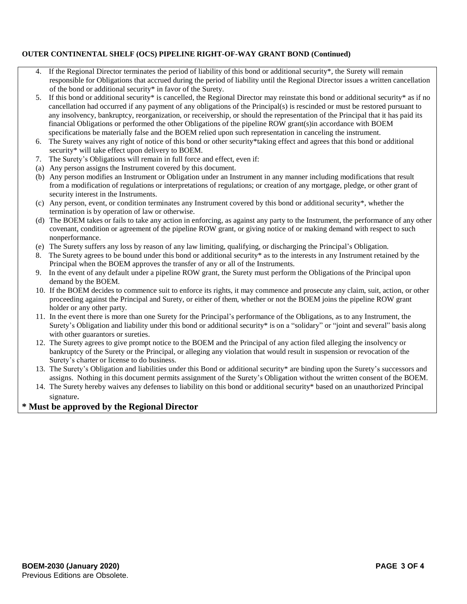#### **OUTER CONTINENTAL SHELF (OCS) PIPELINE RIGHT-OF-WAY GRANT BOND (Continued)**

- If the Regional Director terminates the period of liability of this bond or additional security\*, the Surety will remain responsible for Obligations that accrued during the period of liability until the Regional Director issues a written cancellation of the bond or additional security\* in favor of the Surety.
- 5. If this bond or additional security\* is cancelled, the Regional Director may reinstate this bond or additional security\* as if no cancellation had occurred if any payment of any obligations of the Principal(s) is rescinded or must be restored pursuant to any insolvency, bankruptcy, reorganization, or receivership, or should the representation of the Principal that it has paid its financial Obligations or performed the other Obligations of the pipeline ROW grant(s)in accordance with BOEM specifications be materially false and the BOEM relied upon such representation in canceling the instrument.
- 6. The Surety waives any right of notice of this bond or other security\*taking effect and agrees that this bond or additional security\* will take effect upon delivery to BOEM.
- 7. The Surety's Obligations will remain in full force and effect, even if:
- (a) Any person assigns the Instrument covered by this document.
- (b) Any person modifies an Instrument or Obligation under an Instrument in any manner including modifications that result from a modification of regulations or interpretations of regulations; or creation of any mortgage, pledge, or other grant of security interest in the Instruments.
- (c) Any person, event, or condition terminates any Instrument covered by this bond or additional security\*, whether the termination is by operation of law or otherwise.
- (d) The BOEM takes or fails to take any action in enforcing, as against any party to the Instrument, the performance of any other covenant, condition or agreement of the pipeline ROW grant, or giving notice of or making demand with respect to such nonperformance.
- (e) The Surety suffers any loss by reason of any law limiting, qualifying, or discharging the Principal's Obligation.
- 8. The Surety agrees to be bound under this bond or additional security\* as to the interests in any Instrument retained by the Principal when the BOEM approves the transfer of any or all of the Instruments.
- 9. In the event of any default under a pipeline ROW grant, the Surety must perform the Obligations of the Principal upon demand by the BOEM.
- 10. If the BOEM decides to commence suit to enforce its rights, it may commence and prosecute any claim, suit, action, or other proceeding against the Principal and Surety, or either of them, whether or not the BOEM joins the pipeline ROW grant holder or any other party.
- 11. In the event there is more than one Surety for the Principal's performance of the Obligations, as to any Instrument, the Surety's Obligation and liability under this bond or additional security\* is on a "solidary" or "joint and several" basis along with other guarantors or sureties.
- 12. The Surety agrees to give prompt notice to the BOEM and the Principal of any action filed alleging the insolvency or bankruptcy of the Surety or the Principal, or alleging any violation that would result in suspension or revocation of the Surety's charter or license to do business.
- 13. The Surety's Obligation and liabilities under this Bond or additional security\* are binding upon the Surety's successors and assigns. Nothing in this document permits assignment of the Surety's Obligation without the written consent of the BOEM.
- 14. The Surety hereby waives any defenses to liability on this bond or additional security\* based on an unauthorized Principal signature*.*

### **\* Must be approved by the Regional Director**